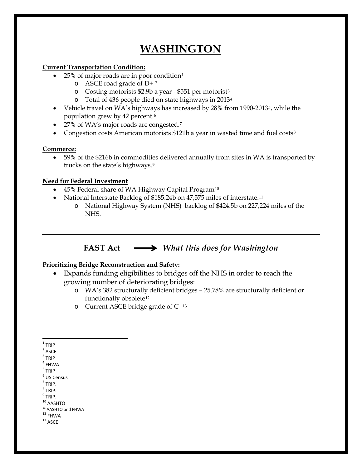# **WASHINGTON**

# **Current Transportation Condition:**

- 25% of major roads are in poor condition<sup>[1](#page-0-0)</sup>
	- o ASCE road grade of D+ [2](#page-0-1)
	- o Costing motorists \$2.9b a year \$551 per motorist[3](#page-0-2)
	- o Total of 436 people died on state highways in 2013[4](#page-0-3)
- Vehicle travel on WA's highways has increased by 28% from 1990-2013[5,](#page-0-4) while the population grew by 42 percent.[6](#page-0-5)
- 2[7](#page-0-6)% of WA's major roads are congested.<sup>7</sup>
- Congestion costs American motorists \$121b a year in wasted time and fuel costs<sup>[8](#page-0-7)</sup>

#### **Commerce:**

• 59% of the \$216b in commodities delivered annually from sites in WA is transported by trucks on the state's highways.[9](#page-0-8)

# **Need for Federal Investment**

- 45% Federal share of WA Highway Capital Progra[m10](#page-0-9)
- National Interstate Backlog of \$185.24b on 47,575 miles of interstate.<sup>[11](#page-0-10)</sup>
	- o National Highway System (NHS) backlog of \$424.5b on 227,224 miles of the NHS.

# **FAST Act** *What this does for Washington*

# **Prioritizing Bridge Reconstruction and Safety:**

- Expands funding eligibilities to bridges off the NHS in order to reach the growing number of deteriorating bridges:
	- o WA's 382 structurally deficient bridges 25.78% are structurally deficient or functionally obsolete<sup>[12](#page-0-11)</sup>
	- o Current ASCE bridge grade of C- [13](#page-0-12)

- <span id="page-0-6"></span> $<sup>7</sup>$  TRIP.</sup>
- <span id="page-0-7"></span> $8$  TRIP.

 $^9$  TRIP.

- <span id="page-0-9"></span><span id="page-0-8"></span> $10$  AASHTO
- <span id="page-0-10"></span><sup>11</sup> AASHTO and FHWA<br><sup>12</sup> FHWA<br><sup>13</sup> ASCE
- <span id="page-0-12"></span><span id="page-0-11"></span>

<span id="page-0-0"></span> $1$  TRIP

<span id="page-0-1"></span> $2$  ASCE

<span id="page-0-2"></span> $3$  TRIP

<span id="page-0-3"></span> $4$  FHWA

<span id="page-0-4"></span><sup>5</sup> TRIP

<span id="page-0-5"></span><sup>6</sup> US Census